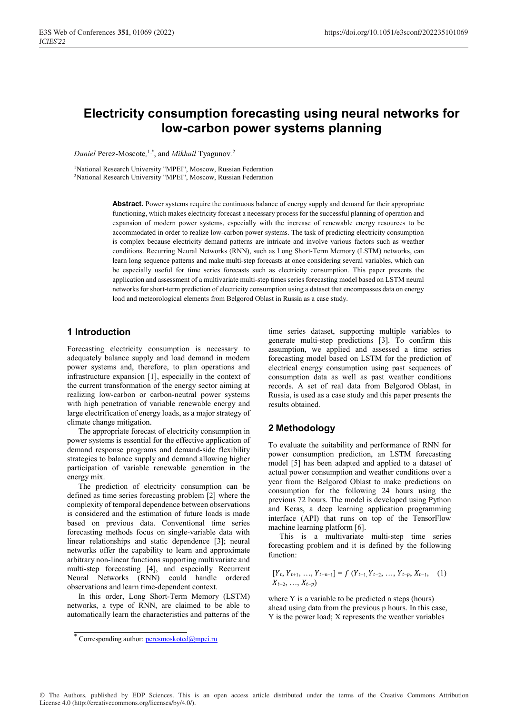# **Electricity consumption forecasting using neural networks for low-carbon power systems planning**

*Daniel* Perez-Moscote*,* 1,\*, and *Mikhail* Tyagunov*.* 2

<sup>1</sup>National Research University "MPEI", Moscow, Russian Federation 2National Research University "MPEI", Moscow, Russian Federation

> Abstract. Power systems require the continuous balance of energy supply and demand for their appropriate functioning, which makes electricity forecast a necessary process for the successful planning of operation and expansion of modern power systems, especially with the increase of renewable energy resources to be accommodated in order to realize low-carbon power systems. The task of predicting electricity consumption is complex because electricity demand patterns are intricate and involve various factors such as weather conditions. Recurring Neural Networks (RNN), such as Long Short-Term Memory (LSTM) networks, can learn long sequence patterns and make multi-step forecasts at once considering several variables, which can be especially useful for time series forecasts such as electricity consumption. This paper presents the application and assessment of a multivariate multi-step times series forecasting model based on LSTM neural networks for short-term prediction of electricity consumption using a dataset that encompasses data on energy load and meteorological elements from Belgorod Oblast in Russia as a case study.

## **1 Introduction**

Forecasting electricity consumption is necessary to adequately balance supply and load demand in modern power systems and, therefore, to plan operations and infrastructure expansion [1], especially in the context of the current transformation of the energy sector aiming at realizing low-carbon or carbon-neutral power systems with high penetration of variable renewable energy and large electrification of energy loads, as a major strategy of climate change mitigation.

The appropriate forecast of electricity consumption in power systems is essential for the effective application of demand response programs and demand-side flexibility strategies to balance supply and demand allowing higher participation of variable renewable generation in the energy mix.

The prediction of electricity consumption can be defined as time series forecasting problem [2] where the complexity of temporal dependence between observations is considered and the estimation of future loads is made based on previous data. Conventional time series forecasting methods focus on single-variable data with linear relationships and static dependence [3]; neural networks offer the capability to learn and approximate arbitrary non-linear functions supporting multivariate and multi-step forecasting [4], and especially Recurrent Neural Networks (RNN) could handle ordered observations and learn time-dependent context.

In this order, Long Short-Term Memory (LSTM) networks, a type of RNN, are claimed to be able to automatically learn the characteristics and patterns of the time series dataset, supporting multiple variables to generate multi-step predictions [3]. To confirm this assumption, we applied and assessed a time series forecasting model based on LSTM for the prediction of electrical energy consumption using past sequences of consumption data as well as past weather conditions records. A set of real data from Belgorod Oblast, in Russia, is used as a case study and this paper presents the results obtained.

## **2 Methodology**

To evaluate the suitability and performance of RNN for power consumption prediction, an LSTM forecasting model [5] has been adapted and applied to a dataset of actual power consumption and weather conditions over a year from the Belgorod Oblast to make predictions on consumption for the following 24 hours using the previous 72 hours. The model is developed using Python and Keras, a deep learning application programming interface (API) that runs on top of the TensorFlow machine learning platform [6].

This is a multivariate multi-step time series forecasting problem and it is defined by the following function:

$$
[Y_t, Y_{t+1}, ..., Y_{t+n-1}] = f(Y_{t-1}, Y_{t-2}, ..., Y_{t-p}, X_{t-1}, (1)
$$
  

$$
X_{t-2}, ..., X_{t-p})
$$

where Y is a variable to be predicted n steps (hours) ahead using data from the previous p hours. In this case, Y is the power load; X represents the weather variables

<sup>\*</sup> Corresponding author: peresmoskoted@mpei.ru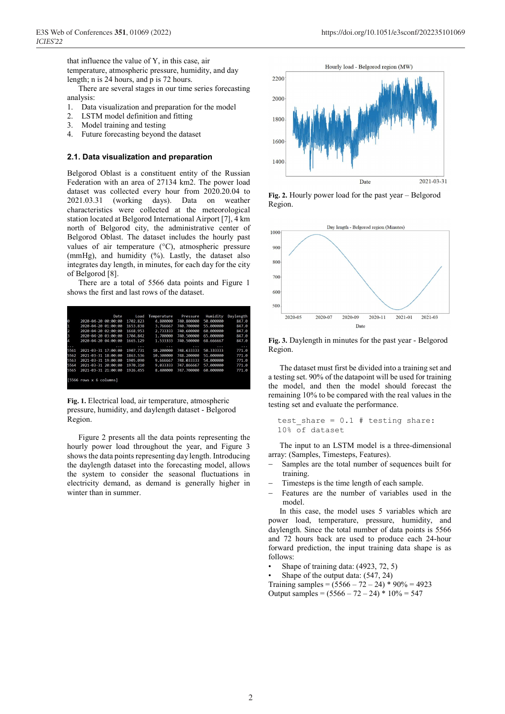that influence the value of Y, in this case, air temperature, atmospheric pressure, humidity, and day length; n is 24 hours, and p is 72 hours.

There are several stages in our time series forecasting analysis:

- 1. Data visualization and preparation for the model
- 2. LSTM model definition and fitting
- 3. Model training and testing<br>4. Future forecasting beyond
- 4. Future forecasting beyond the dataset

#### **2.1. Data visualization and preparation**

Belgorod Oblast is a constituent entity of the Russian Federation with an area of 27134 km2. The power load dataset was collected every hour from 2020.20.04 to 2021.03.31 (working days). Data on weather characteristics were collected at the meteorological station located at Belgorod International Airport [7], 4 km north of Belgorod city, the administrative center of Belgorod Oblast. The dataset includes the hourly past values of air temperature (°C), atmospheric pressure (mmHg), and humidity (%). Lastly, the dataset also integrates day length, in minutes, for each day for the city of Belgorod [8].

There are a total of 5566 data points and Figure 1 shows the first and last rows of the dataset.

|      | Date                        | Load     | Temperature | Pressure   | Humidity  | Daylength |
|------|-----------------------------|----------|-------------|------------|-----------|-----------|
| ø    | 2020-04-20 00:00:00         | 1702.823 | 4.800000    | 740.800000 | 50.000000 | 847.0     |
|      | 2020-04-20 01:00:00         | 1653.838 | 3.766667    | 740.700000 | 55.000000 | 847.0     |
| 2    | 2020-04-20 02:00:00         | 1668.953 | 2.733333    | 740.600000 | 60.000000 | 847.0     |
| З    | 2020-04-20 03:00:00         | 1704.842 | 1.700000    | 740,500000 | 65.000000 | 847.0     |
| Δ    | 2020-04-20 04:00:00         | 1665.129 | 1.533333    | 740.500000 | 68.666667 | 847.0     |
| .    |                             | .        | .           |            | .         | .         |
| 5561 | 2021-03-31 17:00:00         | 1907.731 | 10.200000   | 748.633333 | 50.333333 | 771.0     |
| 5562 | 2021-03-31 18:00:00         | 1863.536 | 10.300000   | 748.200000 | 51.000000 | 771.0     |
| 5563 | 2021-03-31 19:00:00         | 1905.090 | 9.666667    | 748.033333 | 54,000000 | 771.0     |
| 5564 | $2021 - 03 - 31$ $20:00:00$ | 1970.310 | 9.033333    | 747.866667 | 57.000000 | 771.0     |
| 5565 | 2021-03-31 21:00:00         | 1926.455 | 8.400000    | 747.700000 | 60.000000 | 771.0     |
|      |                             |          |             |            |           |           |
|      | $[5566$ rows $x 6$ columns] |          |             |            |           |           |
|      |                             |          |             |            |           |           |

**Fig. 1.** Electrical load, air temperature, atmospheric pressure, humidity, and daylength dataset - Belgorod Region.

Figure 2 presents all the data points representing the hourly power load throughout the year, and Figure 3 shows the data points representing day length. Introducing the daylength dataset into the forecasting model, allows the system to consider the seasonal fluctuations in electricity demand, as demand is generally higher in winter than in summer.



 **Fig. 2.** Hourly power load for the past year – Belgorod Region.



**Fig. 3.** Daylength in minutes for the past year - Belgorod Region.

The dataset must first be divided into a training set and a testing set. 90% of the datapoint will be used for training the model, and then the model should forecast the remaining 10% to be compared with the real values in the testing set and evaluate the performance.

```
test_share = 0.1 # testing share: 
10% of dataset
```
The input to an LSTM model is a three-dimensional array: (Samples, Timesteps, Features).

- Samples are the total number of sequences built for training.
- Timesteps is the time length of each sample.
- Features are the number of variables used in the model.

In this case, the model uses 5 variables which are power load, temperature, pressure, humidity, and daylength. Since the total number of data points is 5566 and 72 hours back are used to produce each 24-hour forward prediction, the input training data shape is as follows:

- Shape of training data: (4923, 72, 5)
- Shape of the output data:  $(547, 24)$

Training samples =  $(5566 - 72 - 24) * 90\% = 4923$ Output samples =  $(5566 - 72 - 24) * 10\% = 547$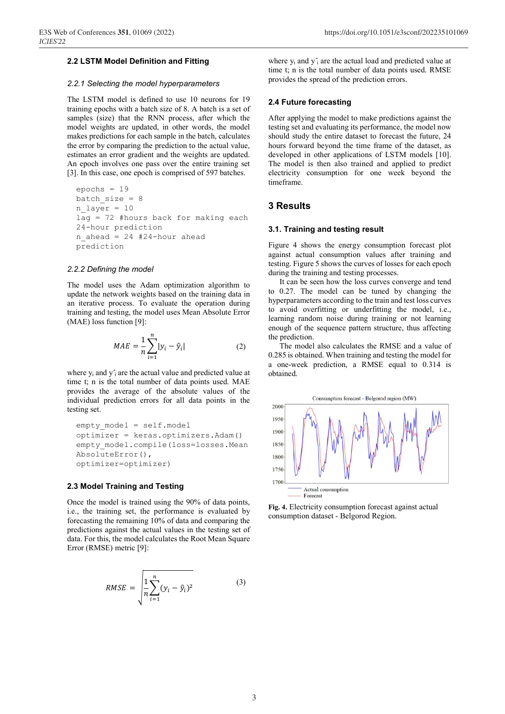#### **2.2 LSTM Model Definition and Fitting**

#### *2.2.1 Selecting the model hyperparameters*

The LSTM model is defined to use 10 neurons for 19 training epochs with a batch size of 8. A batch is a set of samples (size) that the RNN process, after which the model weights are updated, in other words, the model makes predictions for each sample in the batch, calculates the error by comparing the prediction to the actual value, estimates an error gradient and the weights are updated. An epoch involves one pass over the entire training set [3]. In this case, one epoch is comprised of 597 batches.

```
epochs = 19 
batch size = 8n_{layer} = 10lag = 72 #hours back for making each 
24-hour prediction 
n ahead = 24 #24-hour ahead
prediction
```
#### *2.2.2 Defining the model*

The model uses the Adam optimization algorithm to update the network weights based on the training data in an iterative process. To evaluate the operation during training and testing, the model uses Mean Absolute Error (MAE) loss function [9]:

$$
MAE = \frac{1}{n} \sum_{i=1}^{n} |y_i - \hat{y}_i|
$$
 (2)

where  $y_i$  and  $y_i$  are the actual value and predicted value at time t; n is the total number of data points used. MAE provides the average of the absolute values of the individual prediction errors for all data points in the testing set.

```
empty_model = self.model 
optimizer = keras.optimizers.Adam() 
empty model.compile(loss=losses.Mean
AbsoluteError(), 
optimizer=optimizer)
```
## **2.3 Model Training and Testing**

Once the model is trained using the 90% of data points, i.e., the training set, the performance is evaluated by forecasting the remaining 10% of data and comparing the predictions against the actual values in the testing set of data. For this, the model calculates the Root Mean Square Error (RMSE) metric [9]:

$$
RMSE = \sqrt{\frac{1}{n} \sum_{i=1}^{n} (y_i - \hat{y}_i)^2}
$$
 (3)

where  $y_i$  and  $y_i$  are the actual load and predicted value at time t; n is the total number of data points used. RMSE provides the spread of the prediction errors.

#### **2.4 Future forecasting**

After applying the model to make predictions against the testing set and evaluating its performance, the model now should study the entire dataset to forecast the future, 24 hours forward beyond the time frame of the dataset, as developed in other applications of LSTM models [10]. The model is then also trained and applied to predict electricity consumption for one week beyond the timeframe.

## **3 Results**

#### **3.1. Training and testing result**

Figure 4 shows the energy consumption forecast plot against actual consumption values after training and testing. Figure 5 shows the curves of losses for each epoch during the training and testing processes.

It can be seen how the loss curves converge and tend to 0.27. The model can be tuned by changing the hyperparameters according to the train and test loss curves to avoid overfitting or underfitting the model, i.e., learning random noise during training or not learning enough of the sequence pattern structure, thus affecting the prediction.

The model also calculates the RMSE and a value of 0.285 is obtained. When training and testing the model for a one-week prediction, a RMSE equal to 0.314 is obtained.



consumption dataset - Belgorod Region.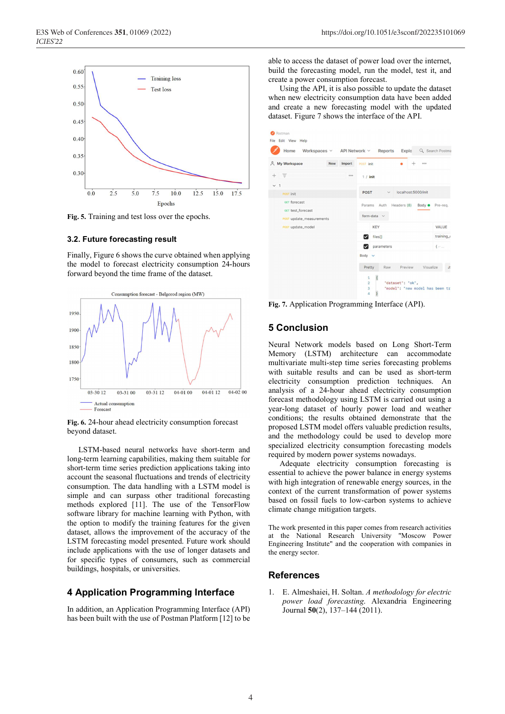

**Fig. 5.** Training and test loss over the epochs.

#### **3.2. Future forecasting result**

Finally, Figure 6 shows the curve obtained when applying the model to forecast electricity consumption 24-hours forward beyond the time frame of the dataset.



beyond dataset.

LSTM-based neural networks have short-term and long-term learning capabilities, making them suitable for short-term time series prediction applications taking into account the seasonal fluctuations and trends of electricity consumption. The data handling with a LSTM model is simple and can surpass other traditional forecasting methods explored [11]. The use of the TensorFlow software library for machine learning with Python, with the option to modify the training features for the given dataset, allows the improvement of the accuracy of the LSTM forecasting model presented. Future work should include applications with the use of longer datasets and for specific types of consumers, such as commercial buildings, hospitals, or universities.

#### **4 Application Programming Interface**

In addition, an Application Programming Interface (API) has been built with the use of Postman Platform [12] to be able to access the dataset of power load over the internet, build the forecasting model, run the model, test it, and create a power consumption forecast.

Using the API, it is also possible to update the dataset when new electricity consumption data have been added and create a new forecasting model with the updated dataset. Figure 7 shows the interface of the API.

| Postman<br>File Edit View Help                                |        |                                                                                                                                                                         |
|---------------------------------------------------------------|--------|-------------------------------------------------------------------------------------------------------------------------------------------------------------------------|
| Home                                                          |        | Workspaces v API Network v Reports<br>Explo Q Search Postma                                                                                                             |
| & My Workspace<br>New                                         | Import | POST init<br>000                                                                                                                                                        |
| ਾਵ<br>$+$<br>$\overline{1}$<br>$\checkmark$                   | 000    | $1 /$ init                                                                                                                                                              |
| <b>POST</b> init                                              |        | localhost:5000/init<br><b>POST</b><br>$\checkmark$                                                                                                                      |
| GET forecast<br>GET test_forecast<br>POST update_measurements |        | Auth<br>Headers (8)<br>Params<br>Body $\bullet$<br>Pre-req.<br>form-data $\vee$                                                                                         |
| POST update_model                                             |        | <b>KEY</b><br>VALUE                                                                                                                                                     |
|                                                               |        | training_<br>files[]<br>M                                                                                                                                               |
|                                                               |        | parameters<br>$\{\cdots\}$                                                                                                                                              |
|                                                               |        | Body v                                                                                                                                                                  |
|                                                               |        | Preview<br>Visualize<br>Pretty<br>Raw<br>J:                                                                                                                             |
|                                                               |        | $\frac{1}{2}$<br>$\mathbf{1}$<br>"dataset": "ok",<br>$\overline{2}$<br>"model": "new model has been tr<br>3 <sup>7</sup><br>$\overline{4}$<br>$\overline{\overline{s}}$ |

**Fig. 7.** Application Programming Interface (API).

#### **5 Conclusion**

Neural Network models based on Long Short-Term Memory (LSTM) architecture can accommodate multivariate multi-step time series forecasting problems with suitable results and can be used as short-term electricity consumption prediction techniques. An analysis of a 24-hour ahead electricity consumption forecast methodology using LSTM is carried out using a year-long dataset of hourly power load and weather conditions; the results obtained demonstrate that the proposed LSTM model offers valuable prediction results, and the methodology could be used to develop more specialized electricity consumption forecasting models required by modern power systems nowadays.

Adequate electricity consumption forecasting is essential to achieve the power balance in energy systems with high integration of renewable energy sources, in the context of the current transformation of power systems based on fossil fuels to low-carbon systems to achieve climate change mitigation targets.

The work presented in this paper comes from research activities at the National Research University "Moscow Power Engineering Institute" and the cooperation with companies in the energy sector.

## **References**

1. E. Almeshaiei, H. Soltan. *A methodology for electric power load forecasting*. Alexandria Engineering Journal **50**(2), 137–144 (2011).